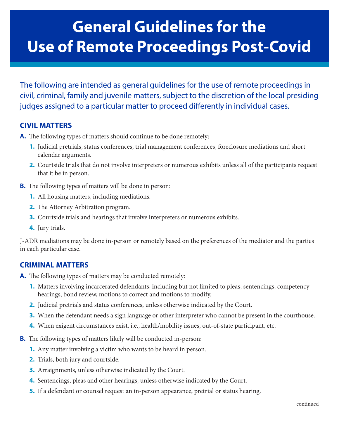# **General Guidelines for the Use of Remote Proceedings Post-Covid**

The following are intended as general guidelines for the use of remote proceedings in civil, criminal, family and juvenile matters, subject to the discretion of the local presiding judges assigned to a particular matter to proceed differently in individual cases.

## **CIVIL MATTERS**

- **A.** The following types of matters should continue to be done remotely:
	- **1.** Judicial pretrials, status conferences, trial management conferences, foreclosure mediations and short calendar arguments.
	- **2.** Courtside trials that do not involve interpreters or numerous exhibits unless all of the participants request that it be in person.
- **B.** The following types of matters will be done in person:
	- **1.** All housing matters, including mediations.
	- **2.** The Attorney Arbitration program.
	- **3.** Courtside trials and hearings that involve interpreters or numerous exhibits.
	- **4.** Jury trials.

J-ADR mediations may be done in-person or remotely based on the preferences of the mediator and the parties in each particular case.

#### **CRIMINAL MATTERS**

**A.** The following types of matters may be conducted remotely:

- **1.** Matters involving incarcerated defendants, including but not limited to pleas, sentencings, competency hearings, bond review, motions to correct and motions to modify.
- **2.** Judicial pretrials and status conferences, unless otherwise indicated by the Court.
- **3.** When the defendant needs a sign language or other interpreter who cannot be present in the courthouse.
- **4.** When exigent circumstances exist, i.e., health/mobility issues, out-of-state participant, etc.
- **B.** The following types of matters likely will be conducted in-person:
	- **1.** Any matter involving a victim who wants to be heard in person.
	- **2.** Trials, both jury and courtside.
	- **3.** Arraignments, unless otherwise indicated by the Court.
	- **4.** Sentencings, pleas and other hearings, unless otherwise indicated by the Court.
	- **5.** If a defendant or counsel request an in-person appearance, pretrial or status hearing.